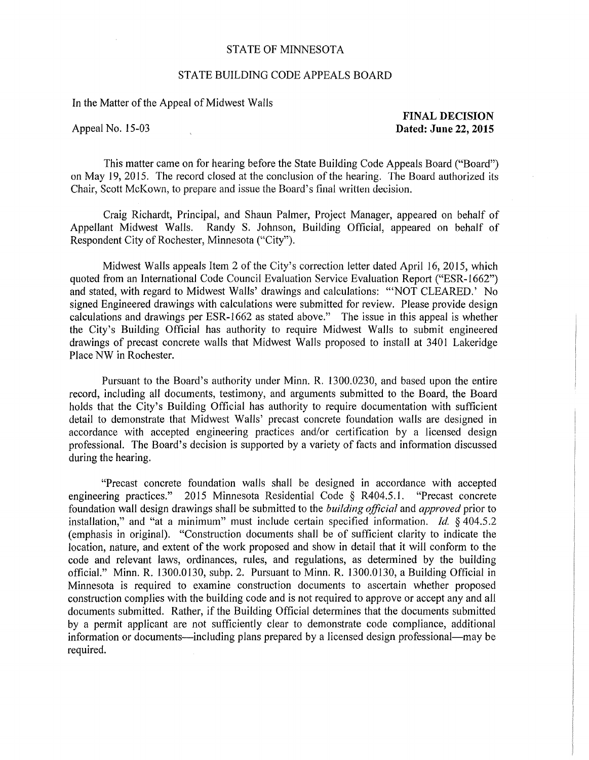## STATE OF MINNESOTA

## STATE BUILDING CODE APPEALS BOARD

In the Matter of the Appeal of Midwest Walls

**FINAL DECISION**  Appeal No. 15-03 **Dated: June 22, 2015** 

This matter came on for hearing before the State Building Code Appeals Board ("Board") on May 19, 2015. The record closed at the conclusion of the hearing. The Board authorized its Chair, Scott McKown, to prepare and issue the Board's final written decision.

Craig Richardt, Principal, and Shaun Palmer, Project Manager, appeared on behalf of Appellant Midwest Walls. Randy S. Johnson, Building Official, appeared on behalf of Respondent City of Rochester, Minnesota ("City").

Midwest Walls appeals Item 2 of the City's correction letter dated April 16, 2015, which quoted from an International Code Council Evaluation Service Evaluation Report ("ESR-1662") and stated, with regard to Midwest Walls' drawings and calculations: "NOT CLEARED.' No signed Engineered drawings with calculations were submitted for review. Please provide design calculations and drawings per ESR-1662 as stated above." The issue in this appeal is whether the City's Building Official has authority to require Midwest Walls to submit engineered drawings of precast concrete walls that Midwest Walls proposed to install at 3401 Lakeridge Place NW in Rochester.

Pursuant to the Board's authority under Minn. R. 1300.0230, and based upon the entire record, including all documents, testimony, and arguments submitted to the Board, the Board holds that the City's Building Official has authority to require documentation with sufficient detail to demonstrate that Midwest Walls' precast concrete foundation walls are designed in accordance with accepted engineering practices and/or certification by a licensed design professional. The Board's decision is supported by a variety of facts and information discussed during the hearing.

"Precast concrete foundation walls shall be designed in accordance with accepted engineering practices." 2015 Minnesota Residential Code § R404.5.1. "Precast concrete foundation wall design drawings shall be submitted to the *building official* and *approved* prior to installation," and "at a minimum" must include certain specified information. *Id.* § 404.5.2 (emphasis in original). "Construction documents shall be of sufficient clarity to indicate the location, nature, and extent of the work proposed and show in detail that it will conform to the code and relevant laws, ordinances, rules, and regulations, as determined by the building official." Minn. R. 1300.0130, subp. 2. Pursuant to Minn. R. 1300.0130, a Building Official in Minnesota is required to examine construction documents to ascertain whether proposed construction complies with the building code and is not required to approve or accept any and all documents submitted. Rather, if the Building Official determines that the documents submitted by a permit applicant are not sufficiently clear to demonstrate code compliance, additional information or documents—including plans prepared by a licensed design professional—may be required.